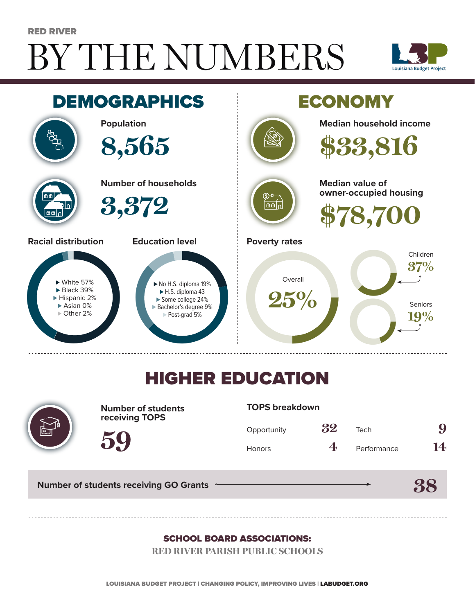# BY THE NUMBERS RED RIVER





## HIGHER EDUCATION



**Number of students receiving TOPS**

#### **TOPS breakdown**

| Opportunity | 32 | Tech        | 9  |
|-------------|----|-------------|----|
| Honors      | 4. | Performance | 14 |

**38**

**Number of students receiving GO Grants**

**59**

#### SCHOOL BOARD ASSOCIATIONS:

**RED RIVER PARISH PUBLIC SCHOOLS**